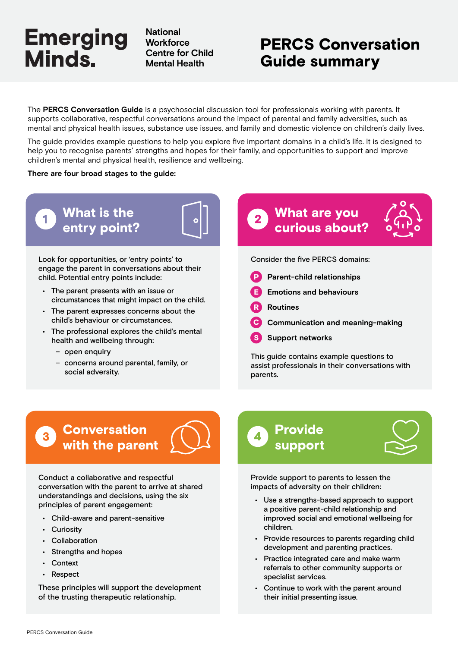**National Workforce Centre for Child Mental Health**

# PERCS Conversation Guide summary

The **PERCS Conversation Guide** is a psychosocial discussion tool for professionals working with parents. It supports collaborative, respectful conversations around the impact of parental and family adversities, such as mental and physical health issues, substance use issues, and family and domestic violence on children's daily lives.

The guide provides example questions to help you explore five important domains in a child's life. It is designed to help you to recognise parents' strengths and hopes for their family, and opportunities to support and improve children's mental and physical health, resilience and wellbeing.

**There are four broad stages to the guide:**

What is the entry point?

Look for opportunities, or 'entry points' to engage the parent in conversations about their child. Potential entry points include:

- The parent presents with an issue or circumstances that might impact on the child.
- The parent expresses concerns about the child's behaviour or circumstances.
- The professional explores the child's mental health and wellbeing through:
	- open enquiry
	- concerns around parental, family, or social adversity.

## What are you  $2<sup>1</sup>$ curious about?



Consider the five PERCS domains:

- P **Parent-child relationships**
- E **Emotions and behaviours**
- R **Routines**
- $\overline{\mathbf{c}}$ **Communication and meaning-making**
- S **Support networks**

This guide contains example questions to assist professionals in their conversations with parents.

## **Conversation** with the parent

Conduct a collaborative and respectful conversation with the parent to arrive at shared understandings and decisions, using the six principles of parent engagement:

- Child-aware and parent-sensitive
- Curiosity
- Collaboration
- Strengths and hopes
- **Context**
- Respect

These principles will support the development of the trusting therapeutic relationship.





Provide support to parents to lessen the impacts of adversity on their children:

- Use a strengths-based approach to support a positive parent-child relationship and improved social and emotional wellbeing for children.
- Provide resources to parents regarding child development and parenting practices.
- Practice integrated care and make warm referrals to other community supports or specialist services.
- Continue to work with the parent around their initial presenting issue.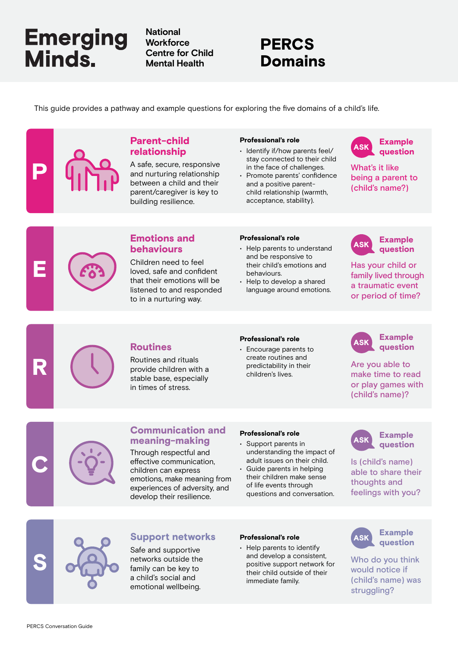**National Workforce Centre for Child Mental Health**

# PERCS Domains

This guide provides a pathway and example questions for exploring the five domains of a child's life.

## Parent-child relationship

A safe, secure, responsive and nurturing relationship between a child and their parent/caregiver is key to building resilience.

## Professional's role

- Identify if/how parents feel/ stay connected to their child in the face of challenges.
- Promote parents' confidence and a positive parentchild relationship (warmth, acceptance, stability).



What's it like being a parent to (child's name?)

# E

P

## Emotions and behaviours

Children need to feel loved, safe and confident that their emotions will be listened to and responded to in a nurturing way.

## Professional's role

- Help parents to understand and be responsive to their child's emotions and behaviours.
- Help to develop a shared language around emotions.



Has your child or family lived through a traumatic event or period of time?



Routines and rituals provide children with a stable base, especially in times of stress.

#### Professional's role

**Routines** • **Encourage parents to CASK** • **Encourage parents to CASK** create routines and predictability in their children's lives.

## Example question

Are you able to make time to read or play games with (child's name)?



C

## Communication and meaning-making

Through respectful and effective communication, children can express emotions, make meaning from experiences of adversity, and develop their resilience.

#### Professional's role

- Support parents in understanding the impact of adult issues on their child.
- Guide parents in helping their children make sense of life events through questions and conversation.

ASK Example question

Is (child's name) able to share their thoughts and feelings with you?



## Support networks Professional's role **ASK**

Safe and supportive networks outside the family can be key to a child's social and emotional wellbeing.

#### Professional's role

• Help parents to identify and develop a consistent, positive support network for their child outside of their immediate family.



Who do you think would notice if (child's name) was struggling?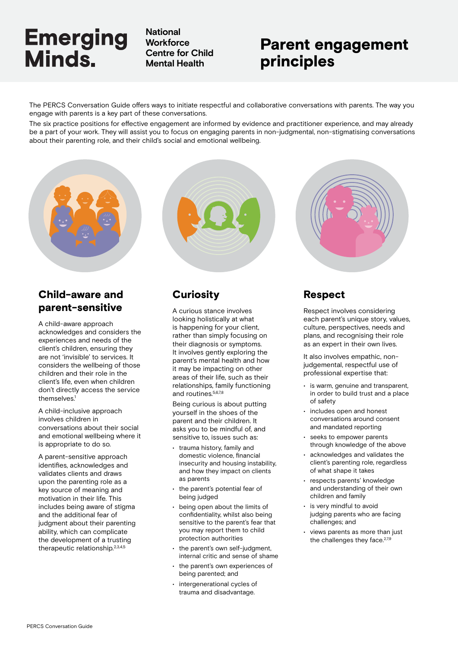**National Workforce Centre for Child Mental Health**

# Parent engagement principles

The PERCS Conversation Guide offers ways to initiate respectful and collaborative conversations with parents. The way you engage with parents is a key part of these conversations.

The six practice positions for effective engagement are informed by evidence and practitioner experience, and may already be a part of your work. They will assist you to focus on engaging parents in non-judgmental, non-stigmatising conversations about their parenting role, and their child's social and emotional wellbeing.

## Child-aware and parent-sensitive

A child-aware approach acknowledges and considers the experiences and needs of the client's children, ensuring they are not 'invisible' to services. It considers the wellbeing of those children and their role in the client's life, even when children don't directly access the service themselves.<sup>1</sup>

A child-inclusive approach involves children in conversations about their social and emotional wellbeing where it is appropriate to do so.

A parent-sensitive approach identifies, acknowledges and validates clients and draws upon the parenting role as a key source of meaning and motivation in their life. This includes being aware of stigma and the additional fear of judgment about their parenting ability, which can complicate the development of a trusting therapeutic relationship.2,3,4,5



## **Curiosity**

A curious stance involves looking holistically at what is happening for your client, rather than simply focusing on their diagnosis or symptoms. It involves gently exploring the parent's mental health and how it may be impacting on other areas of their life, such as their relationships, family functioning and routines.5,6,7,8

Being curious is about putting yourself in the shoes of the parent and their children. It asks you to be mindful of, and sensitive to, issues such as:

- trauma history, family and domestic violence, financial insecurity and housing instability, and how they impact on clients as parents
- the parent's potential fear of being judged
- being open about the limits of confidentiality, whilst also being sensitive to the parent's fear that you may report them to child protection authorities
- the parent's own self-judgment. internal critic and sense of shame
- the parent's own experiences of being parented; and
- intergenerational cycles of trauma and disadvantage.



## Respect

Respect involves considering each parent's unique story, values, culture, perspectives, needs and plans, and recognising their role as an expert in their own lives.

It also involves empathic, nonjudgemental, respectful use of professional expertise that:

- is warm, genuine and transparent, in order to build trust and a place of safety
- includes open and honest conversations around consent and mandated reporting
- seeks to empower parents through knowledge of the above
- acknowledges and validates the client's parenting role, regardless of what shape it takes
- respects parents' knowledge and understanding of their own children and family
- is very mindful to avoid judging parents who are facing challenges; and
- views parents as more than just the challenges they face.<sup>2,7,9</sup>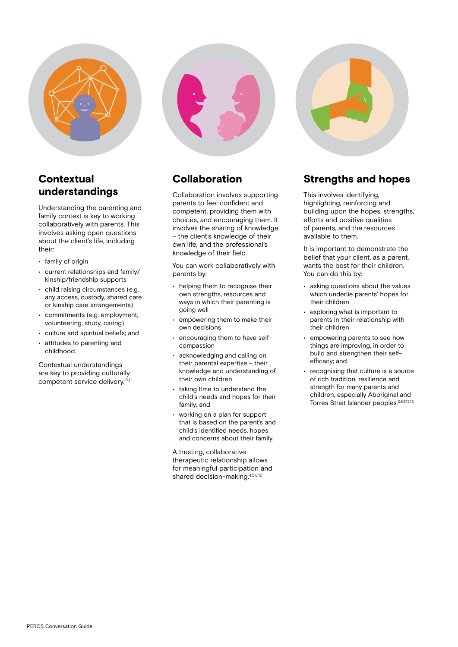

## **Contextual** understandings

Understanding the parenting and family context is key to working collaboratively with parents. This involves asking open questions about the client's life, including their:

- family of origin
- current relationships and family/ kinship/friendship supports
- child raising circumstances (e.g. any access, custody, shared care or kinship care arrangements)
- commitments (e.g. employment, volunteering, study, caring)
- culture and spiritual beliefs; and
- attitudes to parenting and childhood.

Contextual understandings are key to providing culturally competent service delivery.10,11



## Collaboration

Collaboration involves supporting parents to feel confident and competent, providing them with choices, and encouraging them. It involves the sharing of knowledge – the client's knowledge of their own life, and the professional's knowledge of their field.

You can work collaboratively with parents by:

- helping them to recognise their own strengths, resources and ways in which their parenting is going well
- empowering them to make their own decisions
- encouraging them to have selfcompassion
- acknowledging and calling on their parental expertise – their knowledge and understanding of their own children
- taking time to understand the child's needs and hopes for their family; and
- working on a plan for support that is based on the parent's and child's identified needs, hopes and concerns about their family.

A trusting, collaborative therapeutic relationship allows for meaningful participation and shared decision-making.4,5,8,12

## Strengths and hopes

This involves identifying, highlighting, reinforcing and building upon the hopes, strengths, efforts and positive qualities of parents, and the resources available to them.

It is important to demonstrate the belief that your client, as a parent, wants the best for their children. You can do this by:

- asking questions about the values which underlie parents' hopes for their children
- exploring what is important to parents in their relationship with their children
- empowering parents to see how things are improving, in order to build and strengthen their selfefficacy; and
- recognising that culture is a source of rich tradition, resilience and strength for many parents and children, especially Aboriginal and Torres Strait Islander peoples.3,8,9,12,13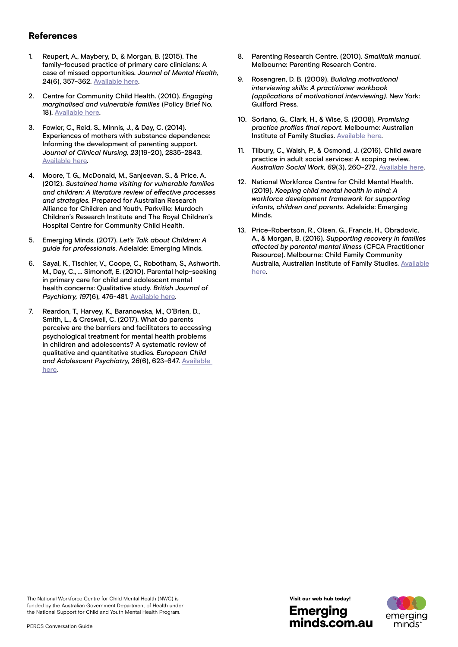## References

- 1. Reupert, A., Maybery, D., & Morgan, B. (2015). The family-focused practice of primary care clinicians: A case of missed opportunities. *Journal of Mental Health, 2*4(6), 357-362. [Available here.](https://www.tandfonline.com/doi/full/10.3109/09638237.2014.998803)
- 2. Centre for Community Child Health. (2010). *Engaging marginalised and vulnerable families* (Policy Brief No. 18). [Available here](https://www.rch.org.au/uploadedFiles/Main/Content/ccch/PB18_Vulnerable_families.pdf).
- 3. Fowler, C., Reid, S., Minnis, J., & Day, C. (2014). Experiences of mothers with substance dependence: Informing the development of parenting support. *Journal of Clinical Nursing, 23*(19-20), 2835-2843. [Available here](https://onlinelibrary.wiley.com/doi/10.1111/jocn.12560).
- 4. Moore, T. G., McDonald, M., Sanjeevan, S., & Price, A. (2012). *Sustained home visiting for vulnerable families and children: A literature review of effective processes and strategies.* Prepared for Australian Research Alliance for Children and Youth. Parkville: Murdoch Children's Research Institute and The Royal Children's Hospital Centre for Community Child Health.
- 5. Emerging Minds. (2017). *Let's Talk about Children: A guide for professionals*. Adelaide: Emerging Minds.
- 6. Sayal, K., Tischler, V., Coope, C., Robotham, S., Ashworth, M., Day, C., … Simonoff, E. (2010). Parental help-seeking in primary care for child and adolescent mental health concerns: Qualitative study. *British Journal of Psychiatry, 197*(6), 476-481. [Available here.](https://pubmed.ncbi.nlm.nih.gov/21119154/)
- 7. Reardon, T., Harvey, K., Baranowska, M., O'Brien, D., Smith, L., & Creswell, C. (2017). What do parents perceive are the barriers and facilitators to accessing psychological treatment for mental health problems in children and adolescents? A systematic review of qualitative and quantitative studies. *European Child and Adolescent Psychiatry, 26*(6), 623-647. [Available](https://link.springer.com/article/10.1007/s00787-016-0930-6)  [here.](https://link.springer.com/article/10.1007/s00787-016-0930-6)
- 8. Parenting Research Centre. (2010). *Smalltalk manual*. Melbourne: Parenting Research Centre.
- 9. Rosengren, D. B. (2009). *Building motivational interviewing skills: A practitioner workbook (applications of motivational interviewing)*. New York: Guilford Press.
- 10. Soriano, G., Clark, H., & Wise, S. (2008). *Promising practice profiles final report*. Melbourne: Australian Institute of Family Studies. [Available here.](http://www3.aifs.gov.au/institute/cafcappp/evaluation/pubs/pppfinalreport.pdf)
- 11. Tilbury, C., Walsh, P., & Osmond, J. (2016). Child aware practice in adult social services: A scoping review. *Australian Social Work, 69*(3), 260-272. [Available here.](https://www.tandfonline.com/doi/abs/10.1080/0312407X.2014.999101)
- 12. National Workforce Centre for Child Mental Health. (2019). *Keeping child mental health in mind: A workforce development framework for supporting infants, children and parents*. Adelaide: Emerging Minds.
- 13. Price-Robertson, R., Olsen, G., Francis, H., Obradovic, A., & Morgan, B. (2016). *Supporting recovery in families affected by parental mental illness* (CFCA Practitioner Resource). Melbourne: Child Family Community Australia, Australian Institute of Family Studies. [Available](https://aifs.gov.au/cfca/publications/supporting-recovery-families-affected-parental-mental-illness) [here.](https://aifs.gov.au/cfca/publications/supporting-recovery-families-affected-parental-mental-illness)

The National Workforce Centre for Child Mental Health (NWC) is funded by the Australian Government Department of Health under the National Support for Child and Youth Mental Health Program.



minds.com.au

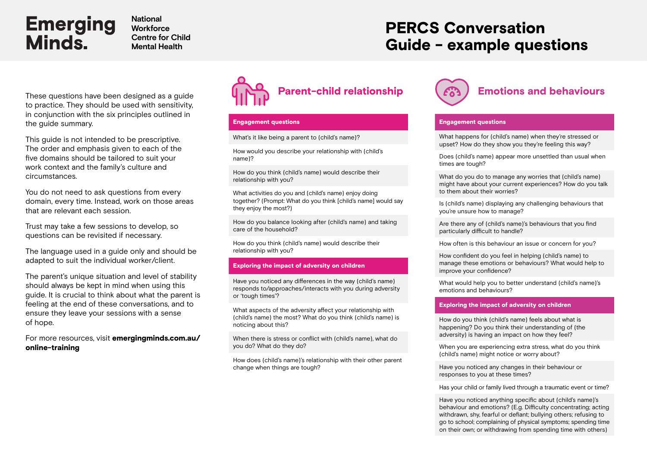**National Workforce Centre for Child Mental Health**

# PERCS Conversation Guide - example questions

to practice. They should be used with sensitivity, in conjunction with the six principles outlined in the guide summary.

This guide is not intended to be prescriptive. The order and emphasis given to each of the five domains should be tailored to suit your work context and the family's culture and circumstances.

You do not need to ask questions from every domain, every time. Instead, work on those areas that are relevant each session.

Trust may take a few sessions to develop, so questions can be revisited if necessary.

The language used in a guide only and should be adapted to suit the individual worker/client.

The parent's unique situation and level of stability should always be kept in mind when using this guide. It is crucial to think about what the parent is feeling at the end of these conversations, and to ensure they leave your sessions with a sense of hope.

For more resources, visit **[emergingminds.com.au/](https://emergingminds.com.au/training/online-training/)** [online-training](https://emergingminds.com.au/training/online-training/)



## Engagement questions

What's it like being a parent to (child's name)?

How would you describe your relationship with (child's name)?

How do you think (child's name) would describe their relationship with you?

What activities do you and (child's name) enjoy doing together? (Prompt: What do you think [child's name] would say they enjoy the most?)

How do you balance looking after (child's name) and taking care of the household?

How do you think (child's name) would describe their relationship with you?

#### Exploring the impact of adversity on children

Have you noticed any differences in the way (child's name) responds to/approaches/interacts with you during adversity or 'tough times'?

What aspects of the adversity affect your relationship with (child's name) the most? What do you think (child's name) is noticing about this?

When there is stress or conflict with (child's name), what do you do? What do they do?

How does (child's name)'s relationship with their other parent change when things are tough?



#### Engagement questions

What happens for (child's name) when they're stressed or upset? How do they show you they're feeling this way?

Does (child's name) appear more unsettled than usual when times are tough?

What do you do to manage any worries that (child's name) might have about your current experiences? How do you talk to them about their worries?

Is (child's name) displaying any challenging behaviours that you're unsure how to manage?

Are there any of (child's name)'s behaviours that you find particularly difficult to handle?

How often is this behaviour an issue or concern for you?

How confident do you feel in helping (child's name) to manage these emotions or behaviours? What would help to improve your confidence?

What would help you to better understand (child's name)'s emotions and behaviours?

#### Exploring the impact of adversity on children

How do you think (child's name) feels about what is happening? Do you think their understanding of (the adversity) is having an impact on how they feel?

When you are experiencing extra stress, what do you think (child's name) might notice or worry about?

Have you noticed any changes in their behaviour or responses to you at these times?

Has your child or family lived through a traumatic event or time?

Have you noticed anything specific about (child's name)'s behaviour and emotions? (E.g. Difficulty concentrating; acting withdrawn, shy, fearful or defiant; bullying others; refusing to go to school; complaining of physical symptoms; spending time on their own; or withdrawing from spending time with others)